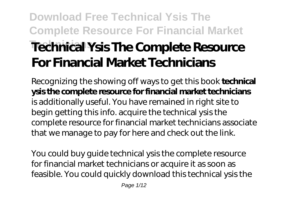# **Download Free Technical Ysis The Complete Resource For Financial Market Technical Ysis The Complete Resource For Financial Market Technicians**

Recognizing the showing off ways to get this book **technical ysis the complete resource for financial market technicians** is additionally useful. You have remained in right site to begin getting this info. acquire the technical ysis the complete resource for financial market technicians associate that we manage to pay for here and check out the link.

You could buy guide technical ysis the complete resource for financial market technicians or acquire it as soon as feasible. You could quickly download this technical ysis the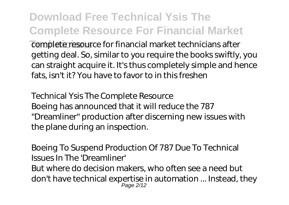**Download Free Technical Ysis The Complete Resource For Financial Market Technicians** complete resource for financial market technicians after getting deal. So, similar to you require the books swiftly, you can straight acquire it. It's thus completely simple and hence

fats, isn't it? You have to favor to in this freshen

*Technical Ysis The Complete Resource* Boeing has announced that it will reduce the 787 "Dreamliner" production after discerning new issues with the plane during an inspection.

*Boeing To Suspend Production Of 787 Due To Technical Issues In The 'Dreamliner'*

But where do decision makers, who often see a need but don't have technical expertise in automation ... Instead, they Page 2/12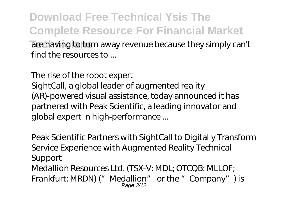**Download Free Technical Ysis The Complete Resource For Financial Market** are having to turn away revenue because they simply can't find the resources to ...

*The rise of the robot expert*

SightCall, a global leader of augmented reality (AR)-powered visual assistance, today announced it has partnered with Peak Scientific, a leading innovator and global expert in high-performance ...

*Peak Scientific Partners with SightCall to Digitally Transform Service Experience with Augmented Reality Technical Support* Medallion Resources Ltd. (TSX-V: MDL; OTCQB: MLLOF; Frankfurt: MRDN) ("Medallion" or the "Company") is Page 3/12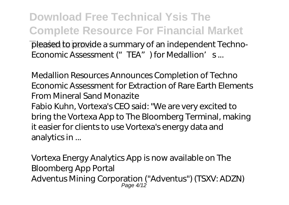**Download Free Technical Ysis The Complete Resource For Financial Market** pleased to provide a summary of an independent Techno-Economic Assessment ("TEA") for Medallion's...

*Medallion Resources Announces Completion of Techno Economic Assessment for Extraction of Rare Earth Elements From Mineral Sand Monazite* Fabio Kuhn, Vortexa's CEO said: "We are very excited to bring the Vortexa App to The Bloomberg Terminal, making it easier for clients to use Vortexa's energy data and analytics in ...

*Vortexa Energy Analytics App is now available on The Bloomberg App Portal* Adventus Mining Corporation ("Adventus") (TSXV: ADZN) Page 4/12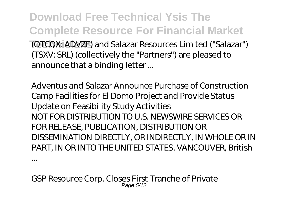**Download Free Technical Ysis The Complete Resource For Financial Market Technicians** (OTCQX: ADVZF) and Salazar Resources Limited ("Salazar") (TSXV: SRL) (collectively the "Partners") are pleased to announce that a binding letter ...

*Adventus and Salazar Announce Purchase of Construction Camp Facilities for El Domo Project and Provide Status Update on Feasibility Study Activities* NOT FOR DISTRIBUTION TO U.S. NEWSWIRE SERVICES OR FOR RELEASE, PUBLICATION, DISTRIBUTION OR DISSEMINATION DIRECTLY, OR INDIRECTLY, IN WHOLE OR IN PART, IN OR INTO THE UNITED STATES. VANCOUVER, British

*GSP Resource Corp. Closes First Tranche of Private* Page 5

...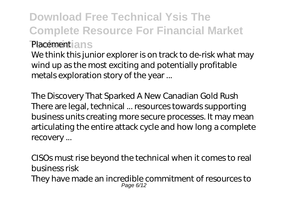#### **Download Free Technical Ysis The Complete Resource For Financial Market** *Placement* ans

We think this junior explorer is on track to de-risk what may wind up as the most exciting and potentially profitable metals exploration story of the year ...

*The Discovery That Sparked A New Canadian Gold Rush* There are legal, technical ... resources towards supporting business units creating more secure processes. It may mean articulating the entire attack cycle and how long a complete recovery ...

*CISOs must rise beyond the technical when it comes to real business risk* They have made an incredible commitment of resources to Page 6/12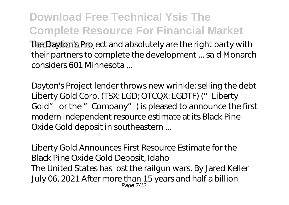### **Download Free Technical Ysis The Complete Resource For Financial Market**

the Dayton's Project and absolutely are the right party with their partners to complete the development ... said Monarch considers 601 Minnesota ...

*Dayton's Project lender throws new wrinkle: selling the debt* Liberty Gold Corp. (TSX: LGD; OTCQX: LGDTF) ("Liberty Gold" or the "Company") is pleased to announce the first modern independent resource estimate at its Black Pine Oxide Gold deposit in southeastern ...

*Liberty Gold Announces First Resource Estimate for the Black Pine Oxide Gold Deposit, Idaho* The United States has lost the railgun wars. By Jared Keller July 06, 2021 After more than 15 years and half a billion Page 7/12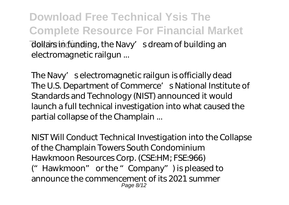**Download Free Technical Ysis The Complete Resource For Financial Market** dollars in funding, the Navy's dream of building an electromagnetic railgun ...

*The Navy's electromagnetic railgun is officially dead* The U.S. Department of Commerce' s National Institute of Standards and Technology (NIST) announced it would launch a full technical investigation into what caused the partial collapse of the Champlain ...

*NIST Will Conduct Technical Investigation into the Collapse of the Champlain Towers South Condominium* Hawkmoon Resources Corp. (CSE:HM; FSE:966) ("Hawkmoon" or the "Company") is pleased to announce the commencement of its 2021 summer Page 8/12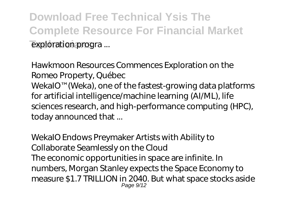**Download Free Technical Ysis The Complete Resource For Financial Market Exploration progra** ...

*Hawkmoon Resources Commences Exploration on the Romeo Property, Québec* WekaIO™ (Weka), one of the fastest-growing data platforms for artificial intelligence/machine learning (AI/ML), life sciences research, and high-performance computing (HPC), today announced that ...

*WekaIO Endows Preymaker Artists with Ability to Collaborate Seamlessly on the Cloud* The economic opportunities in space are infinite. In numbers, Morgan Stanley expects the Space Economy to measure \$1.7 TRILLION in 2040. But what space stocks aside Page 9/12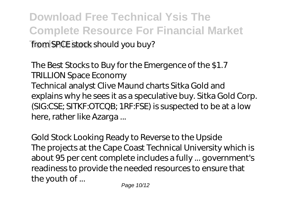**Download Free Technical Ysis The Complete Resource For Financial Market** from SPCE stock should you buy?

*The Best Stocks to Buy for the Emergence of the \$1.7 TRILLION Space Economy* Technical analyst Clive Maund charts Sitka Gold and explains why he sees it as a speculative buy. Sitka Gold Corp. (SIG:CSE; SITKF:OTCQB; 1RF:FSE) is suspected to be at a low here, rather like Azarga ...

*Gold Stock Looking Ready to Reverse to the Upside* The projects at the Cape Coast Technical University which is about 95 per cent complete includes a fully ... government's readiness to provide the needed resources to ensure that the youth of ...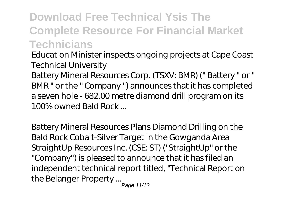### **Download Free Technical Ysis The Complete Resource For Financial Market Technicians**

*Education Minister inspects ongoing projects at Cape Coast Technical University*

Battery Mineral Resources Corp. (TSXV: BMR) (" Battery " or " BMR " or the " Company ") announces that it has completed a seven hole - 682.00 metre diamond drill program on its 100% owned Bald Rock ...

*Battery Mineral Resources Plans Diamond Drilling on the Bald Rock Cobalt-Silver Target in the Gowganda Area* StraightUp Resources Inc. (CSE: ST) ("StraightUp" or the "Company") is pleased to announce that it has filed an independent technical report titled, "Technical Report on the Belanger Property ...